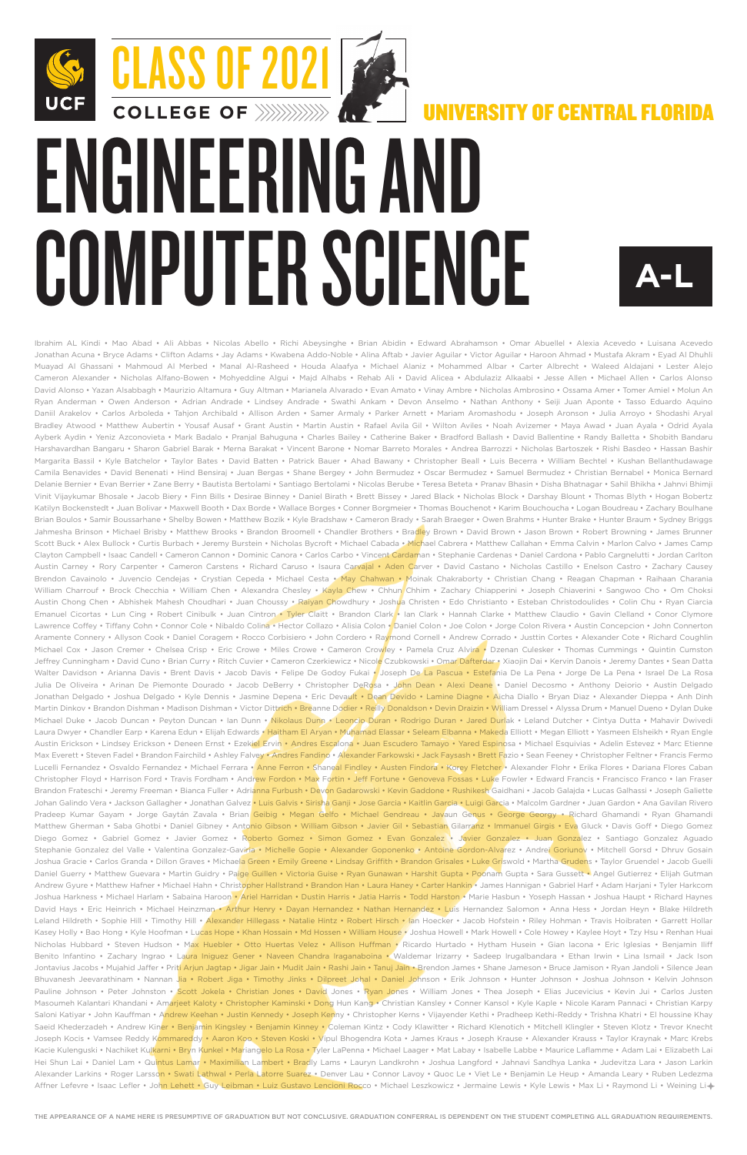## CLASS OF 2021 **UNIVERSITY OF CENTRAL FLORIDA** ENGINEERING AND **COMPUTER SCIENCE**

Ibrahim AL Kindi • Mao Abad • Ali Abbas • Nicolas Abello • Richi Abeysinghe • Brian Abidin • Edward Abrahamson • Omar Abuellel • Alexia Acevedo • Luisana Acevedo Jonathan Acuna • Bryce Adams • Clifton Adams • Jay Adams • Kwabena Addo-Noble • Alina Aftab • Javier Aguilar • Victor Aguilar • Haroon Ahmad • Mustafa Akram • Eyad Al Dhuhli Muayad Al Ghassani • Mahmoud Al Merbed • Manal Al-Rasheed • Houda Alaafya • Michael Alaniz • Mohammed Albar • Carter Albrecht • Waleed Aldajani • Lester Alejo Cameron Alexander • Nicholas Alfano-Bowen • Mohyeddine Algui • Majd Alhabs • Rehab Ali • David Alicea • Abdulaziz Alkaabi • Jesse Allen • Michael Allen • Carlos Alonso David Alonso • Yazan Alsabbagh • Maurizio Altamura • Guy Altman • Marianela Alvarado • Evan Amato • Vinay Ambre • Nicholas Ambrosino • Ossama Amer • Tomer Amiel • Molun An Ryan Anderman • Owen Anderson • Adrian Andrade • Lindsey Andrade • Swathi Ankam • Devon Anselmo • Nathan Anthony • Seiji Juan Aponte • Tasso Eduardo Aquino Daniil Arakelov • Carlos Arboleda • Tahjon Archibald • Allison Arden • Samer Armaly • Parker Arnett • Mariam Aromashodu • Joseph Aronson • Julia Arroyo • Shodashi Aryal Bradley Atwood • Matthew Aubertin • Yousaf Ausaf • Grant Austin • Martin Austin • Rafael Avila Gil • Wilton Aviles • Noah Avizemer • Maya Awad • Juan Ayala • Odrid Ayala Ayberk Aydin • Yeniz Azconovieta • Mark Badalo • Pranjal Bahuguna • Charles Bailey • Catherine Baker • Bradford Ballash • David Ballentine • Randy Balletta • Shobith Bandaru Harshavardhan Bangaru • Sharon Gabriel Barak • Merna Barakat • Vincent Barone • Nomar Barreto Morales • Andrea Barrozzi • Nicholas Bartoszek • Rishi Basdeo • Hassan Bashir Margarita Bassil • Kyle Batchelor • Taylor Bates • David Batten • Patrick Bauer • Ahad Bawany • Christopher Beall • Luis Becerra • William Bechtel • Kushan Bellanthudawage Camila Benavides • David Benenati • Hind Bensiraj • Juan Bergas • Shane Bergey • John Bermudez • Oscar Bermudez • Samuel Bermudez • Christian Bernabel • Monica Bernard Delanie Bernier • Evan Berrier • Zane Berry • Bautista Bertolami • Santiago Bertolami • Nicolas Berube • Teresa Beteta • Pranav Bhasin • Disha Bhatnagar • Sahil Bhikha • Jahnvi Bhimji Vinit Vijaykumar Bhosale • Jacob Biery • Finn Bills • Desirae Binney • Daniel Birath • Brett Bissey • Jared Black • Nicholas Block • Darshay Blount • Thomas Blyth • Hogan Bobertz Katilyn Bockenstedt • Juan Bolivar • Maxwell Booth • Dax Borde • Wallace Borges • Conner Borgmeier • Thomas Bouchenot • Karim Bouchoucha • Logan Boudreau • Zachary Boulhane Brian Boulos • Samir Boussarhane • Shelby Bowen • Matthew Bozik • Kyle Bradshaw • Cameron Brady • Sarah Braeger • Owen Brahms • Hunter Brake • Hunter Braum • Sydney Briggs Jahmesha Brinson • Michael Brisby • Matthew Brooks • Brandon Broomell • Chandler Brothers • Bradley Brown • David Brown • Jason Brown • Robert Browning • James Brunner Scott Buck • Alex Bullock • Curtis Burbach • Jeremy Burstein • Nicholas Bycroft • Michael Cabada • Michael Cabrera • Matthew Callahan • Emma Calvin • Marlon Calvo • James Camp Clayton Campbell • Isaac Candell • Cameron Cannon • Dominic Canora • Carlos Carbo • Vincent Cardaman • Stephanie Cardenas • Daniel Cardona • Pablo Cargnelutti • Jordan Carlton Austin Carney • Rory Carpenter • Cameron Carstens • Richard Caruso • Isaura Carvajal • Aden Carver • David Castano • Nicholas Castillo • Enelson Castro • Zachary Causey Brendon Cavainolo • Juvencio Cendejas • Crystian Cepeda • Michael Cesta • May Chahwan • Moinak Chakraborty • Christian Chang • Reagan Chapman • Raihaan Charania William Charrouf • Brock Checchia • William Chen • Alexandra Chesley • Kayla Chew • Chhun Chhim • Zachary Chiapperini • Joseph Chiaverini • Sangwoo Cho • Om Choksi Austin Chong Chen • Abhishek Mahesh Choudhari • Juan Choussy • Raiyan Chowdhury • Joshua Christen • Edo Christianto • Esteban Christodoulides • Colin Chu • Ryan Ciarcia Emanuel Cicortas • Lun Cing • Robert Cinibulk • Juan Cintron • Tyler Claitt • Brandon Clark • Ian Clark • Hannah Clarke • Matthew Claudio • Gavin Clelland • Conor Clymore Lawrence Coffey • Tiffany Cohn • Connor Cole • Nibaldo Colina • Hector Collazo • Alisia Colon • Daniel Colon • Joe Colon • Jorge Colon Rivera • Austin Concepcion • John Connerton Aramente Connery • Allyson Cook • Daniel Coragem • Rocco Corbisiero • John Cordero • Raymond Cornell • Andrew Corrado • Justtin Cortes • Alexander Cote • Richard Coughlin Michael Cox • Jason Cremer • Chelsea Crisp • Eric Crowe • Miles Crowe • Cameron Crowley • Pamela Cruz Alvira • Dzenan Culesker • Thomas Cummings • Quintin Cumston Jeffrey Cunningham • David Cuno • Brian Curry • Ritch Cuvier • Cameron Czerkiewicz • Nicole Czubkowski • Omar Dafterdar • Xiaojin Dai • Kervin Danois • Jeremy Dantes • Sean Datta Walter Davidson • Arianna Davis • Brent Davis • Jacob Davis • Felipe De Godoy Fukai • Joseph De La Pascua • Estefania De La Pena • Jorge De La Pena • Israel De La Rosa Julia De Oliveira • Arinan De Piemonte Dourado • Jacob DeBerry • Christopher DeRosa • John Dean • Alexi Deane • Daniel Decosmo • Anthony Deiorio • Austin Delgado Jonathan Delgado • Joshua Delgado • Kyle Dennis • Jasmine Depena • Eric Devault • Dean Devido • Lamine Diagne • Aicha Diallo • Bryan Diaz • Alexander Dieppa • Anh Dinh Martin Dinkov • Brandon Dishman • Madison Dishman • Victor Dittrich • Breanne Dodier • Reilly Donaldson • Devin Draizin • William Dressel • Alyssa Drum • Manuel Dueno • Dylan Duke Michael Duke • Jacob Duncan • Peyton Duncan • Ian Dunn • Nikolaus Dunn • Leoncio Duran • Rodrigo Duran • Jared Durlak • Leland Dutcher • Cintya Dutta • Mahavir Dwivedi Laura Dwyer • Chandler Earp • Karena Edun • Elijah Edwards • Haitham El Aryan • Muhamad Elassar • Seleam Elbanna • Makeda Elliott • Megan Elliott • Yasmeen Elsheikh • Ryan Engle Austin Erickson • Lindsey Erickson • Deneen Ernst • Ezekiel Ervin • Andres Escalona • Juan Escudero Tamayo • Yared Espinosa • Michael Esquivias • Adelin Estevez • Marc Etienne Max Everett • Steven Fadel • Brandon Fairchild • Ashley Falvey • Andres Fandino • Alexander Farkowski • Jack Faysash • Brett Fazio • Sean Feeney • Christopher Feltner • Francis Fermo Lucelli Fernandez • Osvaldo Fernandez • Michael Ferrara • Anne Ferron • Shaneal Findley • Austen Findora • Korey Fletcher • Alexander Flohr • Erika Flores • Dariana Flores Caban Christopher Floyd • Harrison Ford • Travis Fordham • Andrew Fordon • Max Fortin • Jeff Fortune • Genoveva Fossas • Luke Fowler • Edward Francis • Francisco Franco • Ian Fraser Brandon Frateschi • Jeremy Freeman • Bianca Fuller • Adrianna Furbush • Devon Gadarowski • Kevin Gaddone • Rushikesh Gaidhani • Jacob Galajda • Lucas Galhassi • Joseph Galiette Johan Galindo Vera • Jackson Gallagher • Jonathan Galvez • Luis Galvis • Sirisha Ganji • Jose Garcia • Kaitlin Garcia • Luigi Garcia • Malcolm Gardner • Juan Gardon • Ana Gavilan Rivero Pradeep Kumar Gayam • Jorge Gaytán Zavala • Brian Geibig • Megan Gelfo • Michael Gendreau • Javaun Genus • George Georgy • Richard Ghamandi • Ryan Ghamandi Matthew Gherman • Saba Ghotbi • Daniel Gibney • Antonio Gibson • William Gibson • Javier Gil • Sebastian Gilarranz • Immanuel Girgis • Eva Gluck • Davis Goff • Diego Gomez Diego Gomez • Gabriel Gomez • Javier Gomez • Roberto Gomez • Simon Gomez • Evan Gonzalez • Javier Gonzalez • Juan Gonzalez • Santiago Gonzalez Aguado Stephanie Gonzalez del Valle • Valentina Gonzalez-Gaviria • Michelle Gopie • Alexander Goponenko • Antoine Gordon-Alvarez • Andrei Goriunov • Mitchell Gorsd • Dhruv Gosain Joshua Gracie • Carlos Granda • Dillon Graves • Michaela Green • Emily Greene • Lindsay Griffith • Brandon Grisales • Luke Griswold • Martha Grudens • Taylor Gruendel • Jacob Guelli Daniel Guerry • Matthew Guevara • Martin Guidry • Paige Guillen • Victoria Guise • Ryan Gunawan • Harshit Gupta • Poonam Gupta • Sara Gussett • Angel Gutierrez • Elijah Gutman Andrew Gyure • Matthew Hafner • Michael Hahn • Christopher Hallstrand • Brandon Han • Laura Haney • Carter Hankin • James Hannigan • Gabriel Harf • Adam Harjani • Tyler Harkcom Joshua Harkness • Michael Harlam • Sabaina Haroon • Ariel Harridan • Dustin Harris • Jatia Harris • Todd Harston • Marie Hasbun • Yoseph Hassan • Joshua Haupt • Richard Haynes David Hays • Eric Heinrich • Michael Heinzman • Arthur Henry • Dayan Hernandez • Nathan Hernandez • Luis Hernandez Salomon • Anna Hess • Jordan Heyn • Blake Hildreth Leland Hildreth • Sophie Hill • Timothy Hill • Alexander Hillegass • Natalie Hintz • Robert Hirsch • Ian Hoecker • Jacob Hofstein • Riley Hohman • Travis Hoibraten • Garrett Hollar Kasey Holly • Bao Hong • Kyle Hoofman • Lucas Hope • Khan Hossain • Md Hossen • William House • Joshua Howell • Mark Howell • Cole Howey • Kaylee Hoyt • Tzy Hsu • Renhan Huai Nicholas Hubbard • Steven Hudson • Max Huebler • Otto Huertas Velez • Allison Huffman • Ricardo Hurtado • Hytham Husein • Gian Iacona • Eric Iglesias • Benjamin Iliff Benito Infantino • Zachary Ingrao • Laura Iniguez Gener • Naveen Chandra Iraganaboina • Waldemar Irizarry • Sadeep Irugalbandara • Ethan Irwin • Lina Ismail • Jack Ison Jontavius Jacobs • Mujahid Jaffer • Prit<mark>i Arjun Jagtap • Jigar Jain • Mudit Jain • Rashi Jain • Tanuj Jain • Br</mark>endon James • Shane Jameson • Bruce Jamison • Ryan Jandoli • Silence Jean Bhuvanesh Jeevarathinam • Nannan Jia • Robert Jiga • Timothy Jinks • Dilpreet Johal • Daniel Johnson • Erik Johnson • Hunter Johnson • Joshua Johnson • Kelvin Johnson Pauline Johnson • Peter Johnston • Scott Jokela • Christian Jones • David Jones • Ryan Jones • William Jones • Thea Joseph • Elias Jucevicius • Kevin Jui • Carlos Justen Masoumeh Kalantari Khandani • Amarjeet Kaloty • Christopher Kaminski • Dong Hun Kang • Christian Kansley • Conner Kansol • Kyle Kaple • Nicole Karam Pannaci • Christian Karpy Saloni Katiyar • John Kauffman • Andrew Keehan • Justin Kennedy • Joseph Kenny • Christopher Kerns • Vijayender Kethi • Pradheep Kethi-Reddy • Trishna Khatri • El houssine Khay Saeid Khederzadeh • Andrew Kiner • Benjamin Kingsley • Benjamin Kinney • Coleman Kintz • Cody Klawitter • Richard Klenotich • Mitchell Klingler • Steven Klotz • Trevor Knecht Joseph Kocis • Vamsee Reddy Kommareddy • Aaron Koo • Steven Koski • Vipul Bhogendra Kota • James Kraus • Joseph Krause • Alexander Krauss • Taylor Kraynak • Marc Krebs Kacie Kulenguski • Nachiket Kulkarni • Bryn Kunkel • Mariangelo La Rosa • Tyler LaPenna • Michael Laager • Mat Labay • Isabelle Labbe • Maurice Laflamme • Adam Lai • Elizabeth Lai Hei Shun Lai • Daniel Lam • Quintus Lamar • Maximilian Lambert • Bradly Lams • Lauryn Landkrohn • Joshua Langford • Jahnavi Sandhya Lanka • Judevitza Lara • Jason Larkin Alexander Larkins • Roger Larsson • Swati Lathwal • Perla Latorre Suarez • Denver Lau • Connor Lavoy • Quoc Le • Viet Le • Benjamin Le Heup • Amanda Leary • Ruben Ledezma Affner Lefevre • Isaac Lefler • John Lehett • Guy Leibman • Luiz Gustavo Lencioni Rocco • Michael Leszkowicz • Jermaine Lewis • Kyle Lewis • Max Li • Raymond Li • Weining Li +

THE APPEARANCE OF A NAME HERE IS PRESUMPTIVE OF GRADUATION BUT NOT CONCLUSIVE. GRADUATION CONFERRAL IS DEPENDENT ON THE STUDENT COMPLETING ALL GRADUATION REQUIREMENTS.